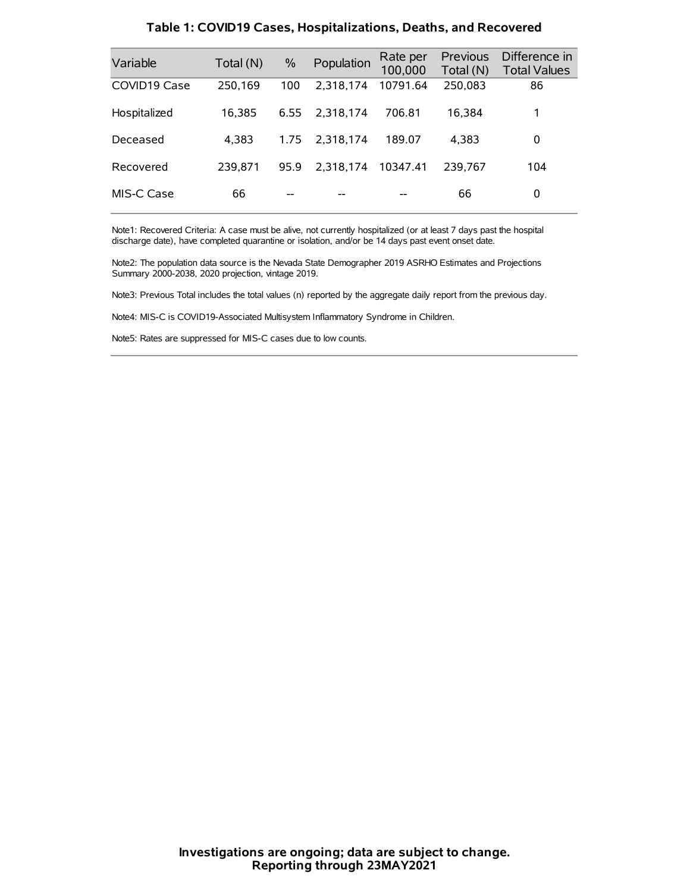| Variable     | Total (N) | $\frac{0}{0}$ | Population | Rate per<br>100,000 | Previous<br>Total (N) | Difference in<br><b>Total Values</b> |
|--------------|-----------|---------------|------------|---------------------|-----------------------|--------------------------------------|
| COVID19 Case | 250,169   | 100           | 2.318.174  | 10791.64            | 250,083               | 86                                   |
| Hospitalized | 16.385    | 6.55          | 2.318.174  | 706.81              | 16.384                | 1                                    |
| Deceased     | 4.383     | 1.75          | 2.318.174  | 189.07              | 4.383                 | 0                                    |
| Recovered    | 239.871   | 95.9          | 2.318.174  | 10347.41            | 239.767               | 104                                  |
| MIS-C Case   | 66        | --            |            |                     | 66                    | 0                                    |

#### **Table 1: COVID19 Cases, Hospitalizations, Deaths, and Recovered**

Note1: Recovered Criteria: A case must be alive, not currently hospitalized (or at least 7 days past the hospital discharge date), have completed quarantine or isolation, and/or be 14 days past event onset date.

Note2: The population data source is the Nevada State Demographer 2019 ASRHO Estimates and Projections Summary 2000-2038, 2020 projection, vintage 2019.

Note3: Previous Total includes the total values (n) reported by the aggregate daily report from the previous day.

Note4: MIS-C is COVID19-Associated Multisystem Inflammatory Syndrome in Children.

Note5: Rates are suppressed for MIS-C cases due to low counts.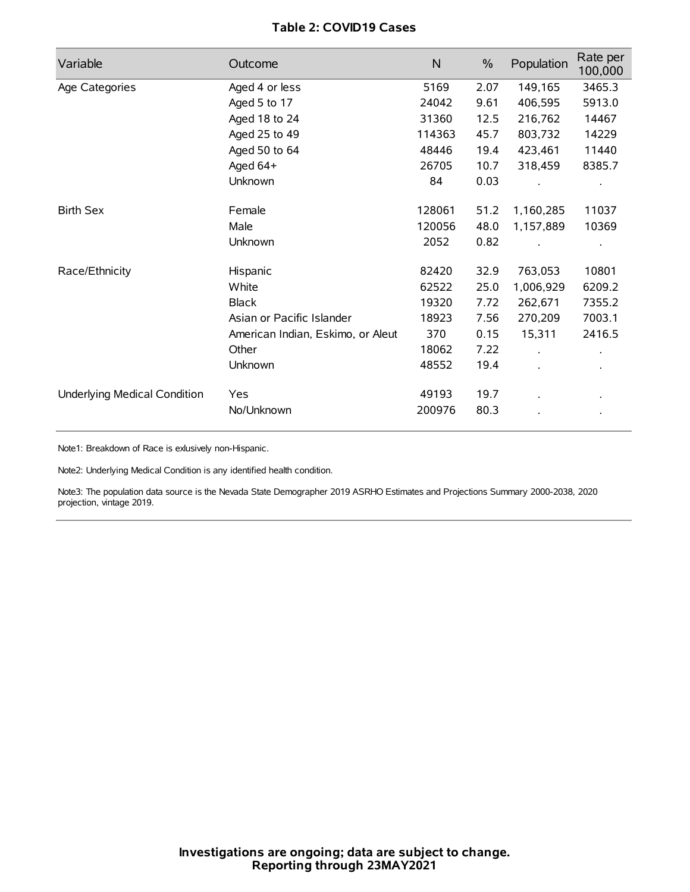## **Table 2: COVID19 Cases**

| Variable                     | Outcome                           | N      | $\%$ | Population | Rate per<br>100,000 |
|------------------------------|-----------------------------------|--------|------|------------|---------------------|
| Age Categories               | Aged 4 or less                    | 5169   | 2.07 | 149,165    | 3465.3              |
|                              | Aged 5 to 17                      | 24042  | 9.61 | 406,595    | 5913.0              |
|                              | Aged 18 to 24                     | 31360  | 12.5 | 216,762    | 14467               |
|                              | Aged 25 to 49                     | 114363 | 45.7 | 803,732    | 14229               |
|                              | Aged 50 to 64                     | 48446  | 19.4 | 423,461    | 11440               |
|                              | Aged 64+                          | 26705  | 10.7 | 318,459    | 8385.7              |
|                              | Unknown                           | 84     | 0.03 |            |                     |
| <b>Birth Sex</b>             | Female                            | 128061 | 51.2 | 1,160,285  | 11037               |
|                              | Male                              | 120056 | 48.0 | 1,157,889  | 10369               |
|                              | Unknown                           | 2052   | 0.82 |            |                     |
| Race/Ethnicity               | Hispanic                          | 82420  | 32.9 | 763,053    | 10801               |
|                              | White                             | 62522  | 25.0 | 1,006,929  | 6209.2              |
|                              | <b>Black</b>                      | 19320  | 7.72 | 262,671    | 7355.2              |
|                              | Asian or Pacific Islander         | 18923  | 7.56 | 270,209    | 7003.1              |
|                              | American Indian, Eskimo, or Aleut | 370    | 0.15 | 15,311     | 2416.5              |
|                              | Other                             | 18062  | 7.22 |            |                     |
|                              | Unknown                           | 48552  | 19.4 |            |                     |
| Underlying Medical Condition | <b>Yes</b>                        | 49193  | 19.7 |            |                     |
|                              | No/Unknown                        | 200976 | 80.3 |            |                     |

Note1: Breakdown of Race is exlusively non-Hispanic.

Note2: Underlying Medical Condition is any identified health condition.

Note3: The population data source is the Nevada State Demographer 2019 ASRHO Estimates and Projections Summary 2000-2038, 2020 projection, vintage 2019.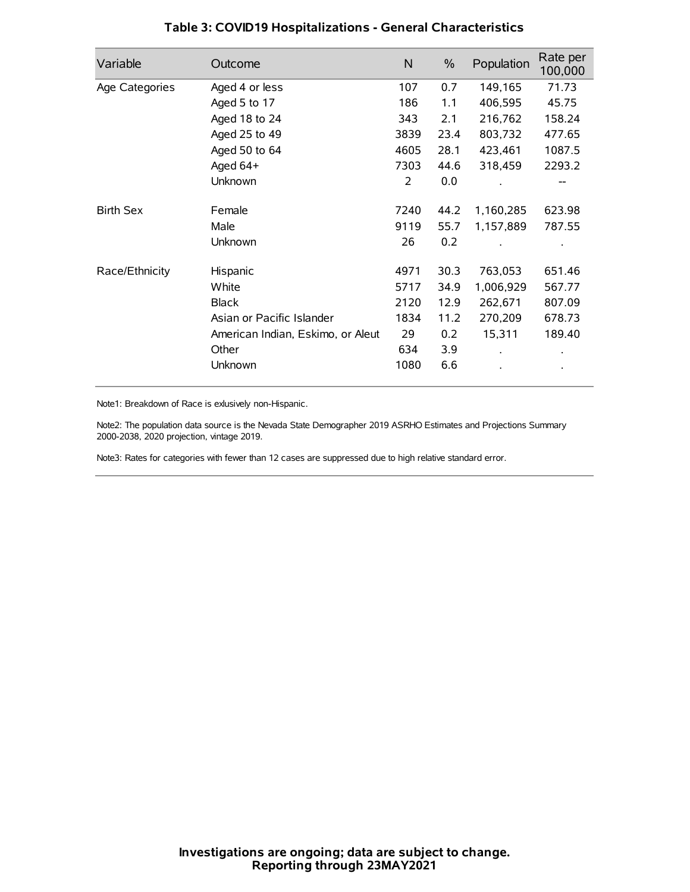| Variable         | Outcome                           | N    | $\%$ | Population | Rate per<br>100,000 |
|------------------|-----------------------------------|------|------|------------|---------------------|
| Age Categories   | Aged 4 or less                    | 107  | 0.7  | 149,165    | 71.73               |
|                  | Aged 5 to 17                      | 186  | 1.1  | 406,595    | 45.75               |
|                  | Aged 18 to 24                     | 343  | 2.1  | 216,762    | 158.24              |
|                  | Aged 25 to 49                     | 3839 | 23.4 | 803,732    | 477.65              |
|                  | Aged 50 to 64                     | 4605 | 28.1 | 423,461    | 1087.5              |
|                  | Aged 64+                          | 7303 | 44.6 | 318,459    | 2293.2              |
|                  | Unknown                           | 2    | 0.0  |            |                     |
| <b>Birth Sex</b> | Female                            | 7240 | 44.2 | 1,160,285  | 623.98              |
|                  | Male                              | 9119 | 55.7 | 1,157,889  | 787.55              |
|                  | Unknown                           | 26   | 0.2  |            |                     |
| Race/Ethnicity   | Hispanic                          | 4971 | 30.3 | 763,053    | 651.46              |
|                  | White                             | 5717 | 34.9 | 1,006,929  | 567.77              |
|                  | <b>Black</b>                      | 2120 | 12.9 | 262,671    | 807.09              |
|                  | Asian or Pacific Islander         | 1834 | 11.2 | 270,209    | 678.73              |
|                  | American Indian, Eskimo, or Aleut | 29   | 0.2  | 15,311     | 189.40              |
|                  | Other                             | 634  | 3.9  |            |                     |
|                  | Unknown                           | 1080 | 6.6  |            |                     |

## **Table 3: COVID19 Hospitalizations - General Characteristics**

Note1: Breakdown of Race is exlusively non-Hispanic.

Note2: The population data source is the Nevada State Demographer 2019 ASRHO Estimates and Projections Summary 2000-2038, 2020 projection, vintage 2019.

Note3: Rates for categories with fewer than 12 cases are suppressed due to high relative standard error.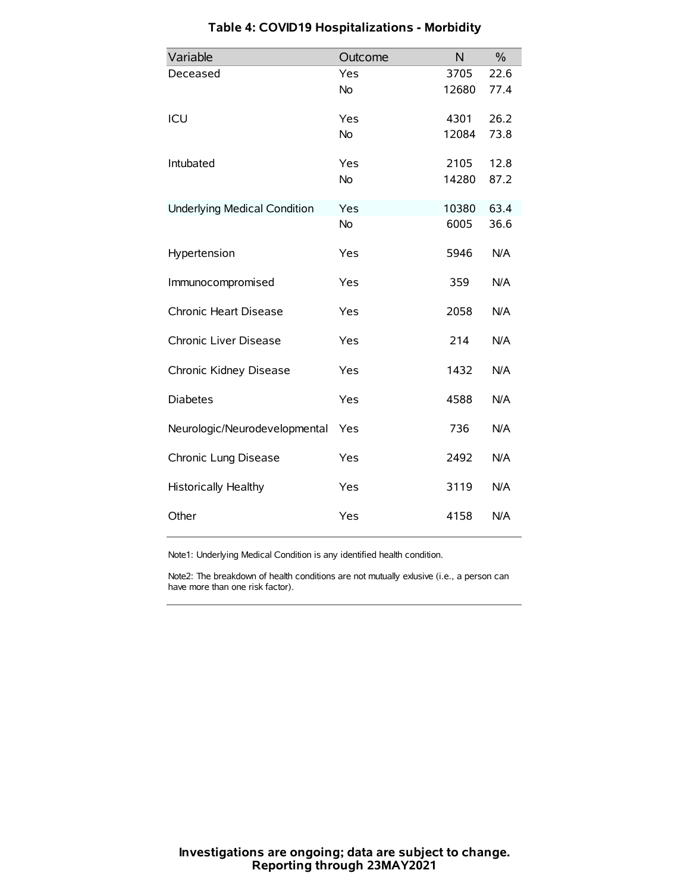| Variable                            | Outcome   | N     | $\frac{0}{0}$ |
|-------------------------------------|-----------|-------|---------------|
| Deceased                            | Yes       | 3705  | 22.6          |
|                                     | <b>No</b> | 12680 | 77.4          |
| ICU                                 | Yes       | 4301  | 26.2          |
|                                     | <b>No</b> | 12084 | 73.8          |
| Intubated                           | Yes       | 2105  | 12.8          |
|                                     | <b>No</b> | 14280 | 87.2          |
| <b>Underlying Medical Condition</b> | Yes       | 10380 | 63.4          |
|                                     | No        | 6005  | 36.6          |
| Hypertension                        | Yes       | 5946  | N/A           |
| Immunocompromised                   | Yes       | 359   | N/A           |
| Chronic Heart Disease               | Yes       | 2058  | N/A           |
| Chronic Liver Disease               | Yes       | 214   | N/A           |
| Chronic Kidney Disease              | Yes       | 1432  | N/A           |
| <b>Diabetes</b>                     | Yes       | 4588  | N/A           |
| Neurologic/Neurodevelopmental       | Yes       | 736   | N/A           |
| Chronic Lung Disease                | Yes       | 2492  | N/A           |
| <b>Historically Healthy</b>         | Yes       | 3119  | N/A           |
| Other                               | Yes       | 4158  | N/A           |

# **Table 4: COVID19 Hospitalizations - Morbidity**

Note1: Underlying Medical Condition is any identified health condition.

Note2: The breakdown of health conditions are not mutually exlusive (i.e., a person can have more than one risk factor).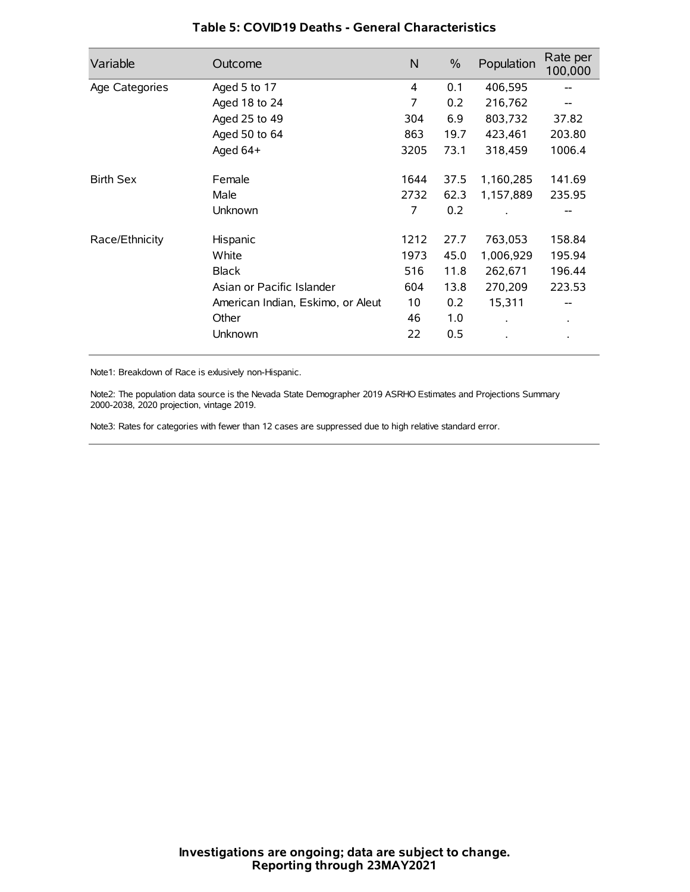| Variable         | Outcome                           | N    | $\%$ | Population           | Rate per<br>100,000 |
|------------------|-----------------------------------|------|------|----------------------|---------------------|
| Age Categories   | Aged 5 to 17                      | 4    | 0.1  | 406,595              | --                  |
|                  | Aged 18 to 24                     | 7    | 0.2  | 216,762              |                     |
|                  | Aged 25 to 49                     | 304  | 6.9  | 803,732              | 37.82               |
|                  | Aged 50 to 64                     | 863  | 19.7 | 423,461              | 203.80              |
|                  | Aged 64+                          | 3205 | 73.1 | 318,459              | 1006.4              |
| <b>Birth Sex</b> | Female                            | 1644 | 37.5 | 1,160,285            | 141.69              |
|                  | Male                              | 2732 | 62.3 | 1,157,889            | 235.95              |
|                  | Unknown                           | 7    | 0.2  |                      |                     |
| Race/Ethnicity   | Hispanic                          | 1212 | 27.7 | 763,053              | 158.84              |
|                  | White                             | 1973 | 45.0 | 1,006,929            | 195.94              |
|                  | <b>Black</b>                      | 516  | 11.8 | 262,671              | 196.44              |
|                  | Asian or Pacific Islander         | 604  | 13.8 | 270,209              | 223.53              |
|                  | American Indian, Eskimo, or Aleut | 10   | 0.2  | 15,311               |                     |
|                  | Other                             | 46   | 1.0  | $\ddot{\phantom{0}}$ | $\bullet$           |
|                  | Unknown                           | 22   | 0.5  |                      |                     |

## **Table 5: COVID19 Deaths - General Characteristics**

Note1: Breakdown of Race is exlusively non-Hispanic.

Note2: The population data source is the Nevada State Demographer 2019 ASRHO Estimates and Projections Summary 2000-2038, 2020 projection, vintage 2019.

Note3: Rates for categories with fewer than 12 cases are suppressed due to high relative standard error.